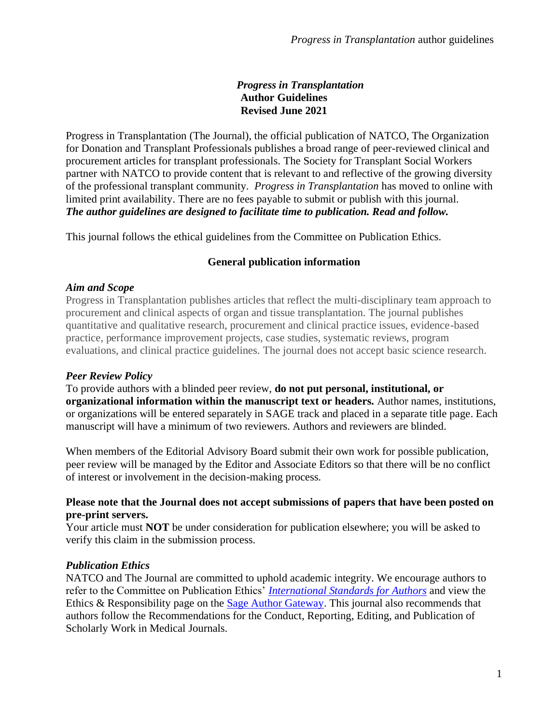#### *Progress in Transplantation* **Author Guidelines Revised June 2021**

Progress in Transplantation (The Journal), the official publication of NATCO, The Organization for Donation and Transplant Professionals publishes a broad range of peer-reviewed clinical and procurement articles for transplant professionals. The Society for Transplant Social Workers partner with NATCO to provide content that is relevant to and reflective of the growing diversity of the professional transplant community. *Progress in Transplantation* has moved to online with limited print availability. There are no fees payable to submit or publish with this journal. *The author guidelines are designed to facilitate time to publication. Read and follow.*

This journal follows the ethical guidelines from the Committee on Publication Ethics.

## **General publication information**

#### *Aim and Scope*

Progress in Transplantation publishes articles that reflect the multi-disciplinary team approach to procurement and clinical aspects of organ and tissue transplantation. The journal publishes quantitative and qualitative research, procurement and clinical practice issues, evidence-based practice, performance improvement projects, case studies, systematic reviews, program evaluations, and clinical practice guidelines. The journal does not accept basic science research.

## *Peer Review Policy*

To provide authors with a blinded peer review, **do not put personal, institutional, or organizational information within the manuscript text or headers.** Author names, institutions, or organizations will be entered separately in SAGE track and placed in a separate title page. Each manuscript will have a minimum of two reviewers. Authors and reviewers are blinded.

When members of the Editorial Advisory Board submit their own work for possible publication, peer review will be managed by the Editor and Associate Editors so that there will be no conflict of interest or involvement in the decision-making process.

#### **Please note that the Journal does not accept submissions of papers that have been posted on pre-print servers.**

Your article must **NOT** be under consideration for publication elsewhere; you will be asked to verify this claim in the submission process.

#### *Publication Ethics*

NATCO and The Journal are committed to uphold academic integrity. We encourage authors to refer to the Committee on Publication Ethics' *[International Standards for Authors](http://publicationethics.org/resources/international-standards-for-editors-and-authors)* and view the Ethics & Responsibility page on the [Sage Author Gateway.](https://us.sagepub.com/en-us/nam/page/journal-author-gateway) This journal also recommends that authors follow the Recommendations for the Conduct, Reporting, Editing, and Publication of Scholarly Work in Medical Journals.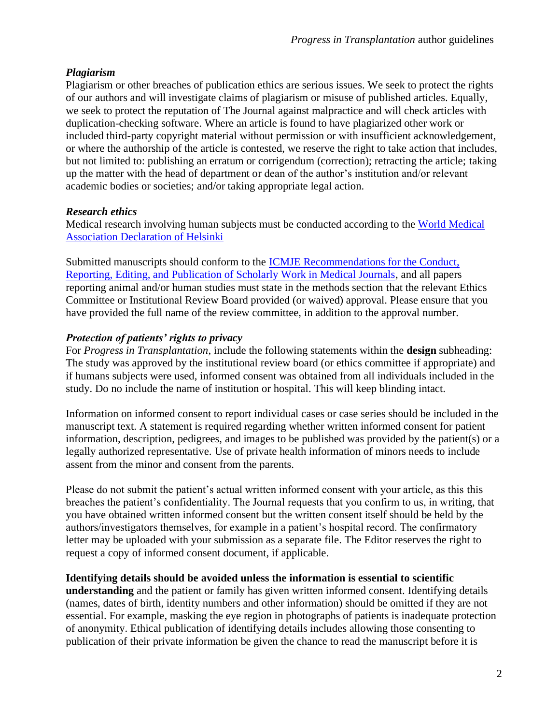# *Plagiarism*

Plagiarism or other breaches of publication ethics are serious issues. We seek to protect the rights of our authors and will investigate claims of plagiarism or misuse of published articles. Equally, we seek to protect the reputation of The Journal against malpractice and will check articles with duplication-checking software. Where an article is found to have plagiarized other work or included third-party copyright material without permission or with insufficient acknowledgement, or where the authorship of the article is contested, we reserve the right to take action that includes, but not limited to: publishing an erratum or corrigendum (correction); retracting the article; taking up the matter with the head of department or dean of the author's institution and/or relevant academic bodies or societies; and/or taking appropriate legal action.

# *Research ethics*

Medical research involving human subjects must be conducted according to the [World Medical](https://www.wma.net/policies-post/wma-declaration-of-helsinki-ethical-principles-for-medical-research-involving-human-subjects/)  [Association Declaration of Helsinki](https://www.wma.net/policies-post/wma-declaration-of-helsinki-ethical-principles-for-medical-research-involving-human-subjects/)

Submitted manuscripts should conform to the [ICMJE Recommendations for the Conduct,](http://www.icmje.org/icmje-recommendations.pdf)  [Reporting, Editing, and Publication of Scholarly Work in Medical Journals,](http://www.icmje.org/icmje-recommendations.pdf) and all papers reporting animal and/or human studies must state in the methods section that the relevant Ethics Committee or Institutional Review Board provided (or waived) approval. Please ensure that you have provided the full name of the review committee, in addition to the approval number.

# *Protection of patients' rights to privacy*

For *Progress in Transplantation*, include the following statements within the **design** subheading: The study was approved by the institutional review board (or ethics committee if appropriate) and if humans subjects were used, informed consent was obtained from all individuals included in the study. Do no include the name of institution or hospital. This will keep blinding intact.

Information on informed consent to report individual cases or case series should be included in the manuscript text. A statement is required regarding whether written informed consent for patient information, description, pedigrees, and images to be published was provided by the patient(s) or a legally authorized representative. Use of private health information of minors needs to include assent from the minor and consent from the parents.

Please do not submit the patient's actual written informed consent with your article, as this this breaches the patient's confidentiality. The Journal requests that you confirm to us, in writing, that you have obtained written informed consent but the written consent itself should be held by the authors/investigators themselves, for example in a patient's hospital record. The confirmatory letter may be uploaded with your submission as a separate file. The Editor reserves the right to request a copy of informed consent document, if applicable.

## **Identifying details should be avoided unless the information is essential to scientific**

**understanding** and the patient or family has given written informed consent. Identifying details (names, dates of birth, identity numbers and other information) should be omitted if they are not essential. For example, masking the eye region in photographs of patients is inadequate protection of anonymity. Ethical publication of identifying details includes allowing those consenting to publication of their private information be given the chance to read the manuscript before it is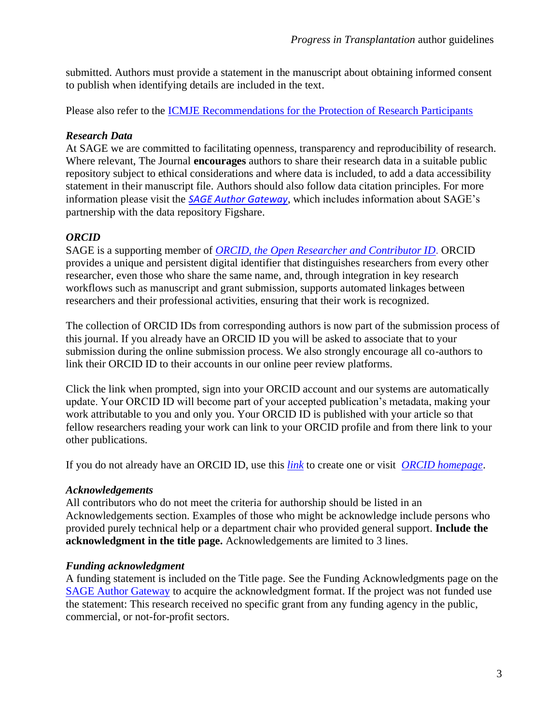submitted. Authors must provide a statement in the manuscript about obtaining informed consent to publish when identifying details are included in the text.

Please also refer to the [ICMJE Recommendations for the Protection of Research Participants](http://www.icmje.org/recommendations/browse/roles-and-responsibilities/protection-of-research-participants.html)

# *Research Data*

At SAGE we are committed to facilitating openness, transparency and reproducibility of research. Where relevant, The Journal **encourages** authors to share their research data in a suitable public repository subject to ethical considerations and where data is included, to add a data accessibility statement in their manuscript file. Authors should also follow data citation principles. For more information please visit the *[SAGE Author Gateway](https://uk.sagepub.com/en-gb/eur/supplementary-files-on-sage-journals-sj-guidelines-for-authors)*, which includes information about SAGE's partnership with the data repository Figshare.

# *ORCID*

SAGE is a supporting member of *[ORCID, the Open Researcher and Contributor ID](http://orcid.org/)*. ORCID provides a unique and persistent digital identifier that distinguishes researchers from every other researcher, even those who share the same name, and, through integration in key research workflows such as manuscript and grant submission, supports automated linkages between researchers and their professional activities, ensuring that their work is recognized.

The collection of ORCID IDs from corresponding authors is now part of the submission process of this journal. If you already have an ORCID ID you will be asked to associate that to your submission during the online submission process. We also strongly encourage all co-authors to link their ORCID ID to their accounts in our online peer review platforms.

Click the link when prompted, sign into your ORCID account and our systems are automatically update. Your ORCID ID will become part of your accepted publication's metadata, making your work attributable to you and only you. Your ORCID ID is published with your article so that fellow researchers reading your work can link to your ORCID profile and from there link to your other publications.

If you do not already have an ORCID ID, use this *[link](https://orcid.org/register)* to create one or visit *[ORCID homepage](https://uk.sagepub.com/en-gb/eur/orcid)*.

# *Acknowledgements*

All contributors who do not meet the criteria for authorship should be listed in an Acknowledgements section. Examples of those who might be acknowledge include persons who provided purely technical help or a department chair who provided general support. **Include the acknowledgment in the title page.** Acknowledgements are limited to 3 lines.

# *Funding acknowledgment*

A funding statement is included on the Title page. See the Funding Acknowledgments page on the [SAGE Author Gateway](https://us.sagepub.com/en-us/nam/page/journal-author-gateway) to acquire the acknowledgment format. If the project was not funded use the statement: This research received no specific grant from any funding agency in the public, commercial, or not-for-profit sectors.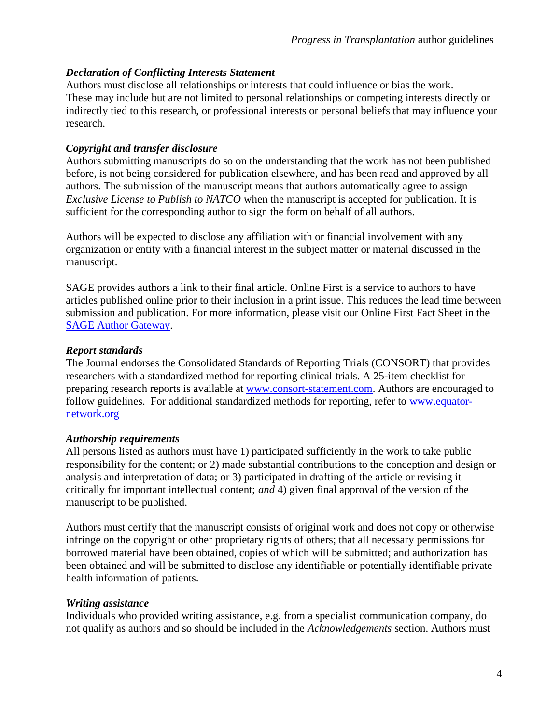## *Declaration of Conflicting Interests Statement*

Authors must disclose all relationships or interests that could influence or bias the work. These may include but are not limited to personal relationships or competing interests directly or indirectly tied to this research, or professional interests or personal beliefs that may influence your research.

## *Copyright and transfer disclosure*

Authors submitting manuscripts do so on the understanding that the work has not been published before, is not being considered for publication elsewhere, and has been read and approved by all authors. The submission of the manuscript means that authors automatically agree to assign *Exclusive License to Publish to NATCO* when the manuscript is accepted for publication. It is sufficient for the corresponding author to sign the form on behalf of all authors.

Authors will be expected to disclose any affiliation with or financial involvement with any organization or entity with a financial interest in the subject matter or material discussed in the manuscript.

SAGE provides authors a link to their final article. Online First is a service to authors to have articles published online prior to their inclusion in a print issue. This reduces the lead time between submission and publication. For more information, please visit our Online First Fact Sheet in the [SAGE Author Gateway.](https://us.sagepub.com/en-us/nam/page/journal-author-gateway)

# *Report standards*

The Journal endorses the Consolidated Standards of Reporting Trials (CONSORT) that provides researchers with a standardized method for reporting clinical trials. A 25-item checklist for preparing research reports is available at [www.consort-statement.com.](http://www.consort-statement.com/) Authors are encouraged to follow guidelines. For additional standardized methods for reporting, refer to [www.equator](http://www.equator-network.org/)[network.org](http://www.equator-network.org/)

## *Authorship requirements*

All persons listed as authors must have 1) participated sufficiently in the work to take public responsibility for the content; or 2) made substantial contributions to the conception and design or analysis and interpretation of data; or 3) participated in drafting of the article or revising it critically for important intellectual content; *and* 4) given final approval of the version of the manuscript to be published.

Authors must certify that the manuscript consists of original work and does not copy or otherwise infringe on the copyright or other proprietary rights of others; that all necessary permissions for borrowed material have been obtained, copies of which will be submitted; and authorization has been obtained and will be submitted to disclose any identifiable or potentially identifiable private health information of patients.

## *Writing assistance*

Individuals who provided writing assistance, e.g. from a specialist communication company, do not qualify as authors and so should be included in the *Acknowledgements* section. Authors must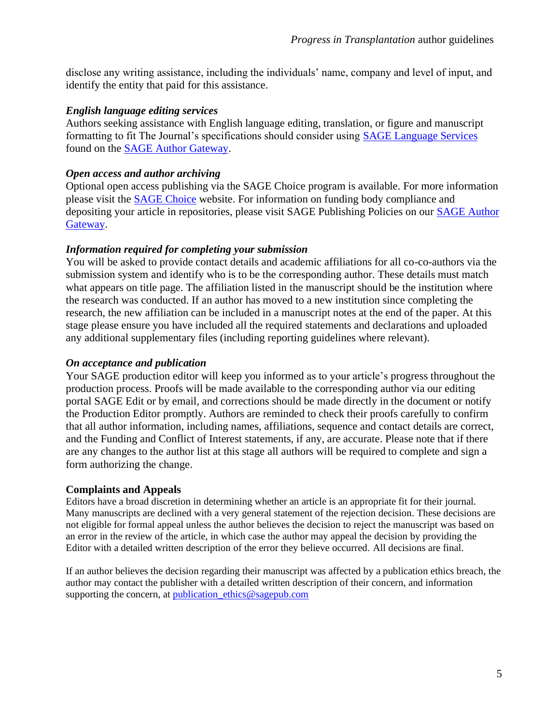disclose any writing assistance, including the individuals' name, company and level of input, and identify the entity that paid for this assistance.

#### *English language editing services*

Authors seeking assistance with English language editing, translation, or figure and manuscript formatting to fit The Journal's specifications should consider using [SAGE Language Services](http://languageservices.sagepub.com/en/) found on the [SAGE Author Gateway.](https://us.sagepub.com/en-us/nam/page/journal-author-gateway)

#### *Open access and author archiving*

Optional open access publishing via the SAGE Choice program is available. For more information please visit the [SAGE Choice](https://us.sagepub.com/en-us/nam/sage-choice) website. For information on funding body compliance and depositing your article in repositories, please visit SAGE Publishing Policies on our [SAGE Author](https://us.sagepub.com/en-us/nam/page/journal-author-gateway)  [Gateway.](https://us.sagepub.com/en-us/nam/page/journal-author-gateway)

#### *Information required for completing your submission*

You will be asked to provide contact details and academic affiliations for all co-co-authors via the submission system and identify who is to be the corresponding author. These details must match what appears on title page. The affiliation listed in the manuscript should be the institution where the research was conducted. If an author has moved to a new institution since completing the research, the new affiliation can be included in a manuscript notes at the end of the paper. At this stage please ensure you have included all the required statements and declarations and uploaded any additional supplementary files (including reporting guidelines where relevant).

#### *On acceptance and publication*

Your SAGE production editor will keep you informed as to your article's progress throughout the production process. Proofs will be made available to the corresponding author via our editing portal SAGE Edit or by email, and corrections should be made directly in the document or notify the Production Editor promptly. Authors are reminded to check their proofs carefully to confirm that all author information, including names, affiliations, sequence and contact details are correct, and the Funding and Conflict of Interest statements, if any, are accurate. Please note that if there are any changes to the author list at this stage all authors will be required to complete and sign a form authorizing the change.

#### **Complaints and Appeals**

Editors have a broad discretion in determining whether an article is an appropriate fit for their journal. Many manuscripts are declined with a very general statement of the rejection decision. These decisions are not eligible for formal appeal unless the author believes the decision to reject the manuscript was based on an error in the review of the article, in which case the author may appeal the decision by providing the Editor with a detailed written description of the error they believe occurred. All decisions are final.

If an author believes the decision regarding their manuscript was affected by a publication ethics breach, the author may contact the publisher with a detailed written description of their concern, and information supporting the concern, at [publication\\_ethics@sagepub.com](mailto:publication_ethics@sagepub.com)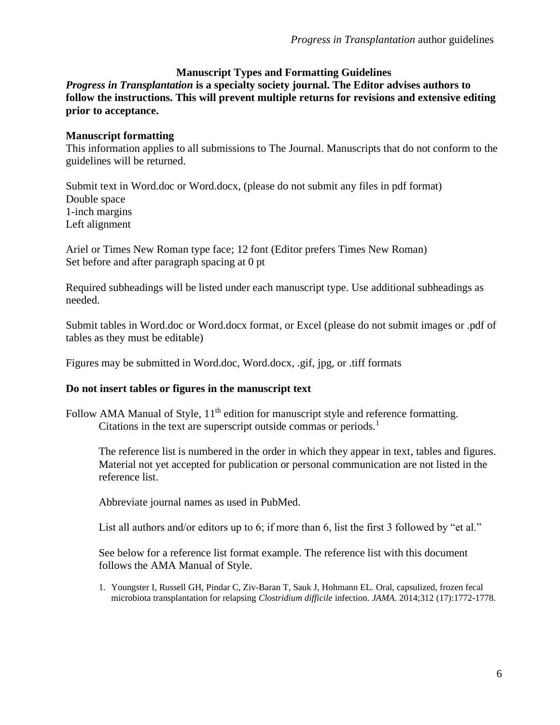#### **Manuscript Types and Formatting Guidelines**

*Progress in Transplantation* **is a specialty society journal. The Editor advises authors to follow the instructions. This will prevent multiple returns for revisions and extensive editing prior to acceptance.** 

#### **Manuscript formatting**

This information applies to all submissions to The Journal. Manuscripts that do not conform to the guidelines will be returned.

Submit text in Word.doc or Word.docx, (please do not submit any files in pdf format) Double space 1-inch margins Left alignment

Ariel or Times New Roman type face; 12 font (Editor prefers Times New Roman) Set before and after paragraph spacing at 0 pt

Required subheadings will be listed under each manuscript type. Use additional subheadings as needed.

Submit tables in Word.doc or Word.docx format, or Excel (please do not submit images or .pdf of tables as they must be editable)

Figures may be submitted in Word.doc, Word.docx, .gif, jpg, or .tiff formats

#### **Do not insert tables or figures in the manuscript text**

Follow AMA Manual of Style,  $11<sup>th</sup>$  edition for manuscript style and reference formatting. Citations in the text are superscript outside commas or periods.<sup>1</sup>

The reference list is numbered in the order in which they appear in text, tables and figures. Material not yet accepted for publication or personal communication are not listed in the reference list.

Abbreviate journal names as used in PubMed.

List all authors and/or editors up to 6; if more than 6, list the first 3 followed by "et al."

See below for a reference list format example. The reference list with this document follows the AMA Manual of Style.

1. Youngster I, Russell GH, Pindar C, Ziv-Baran T, Sauk J, Hohmann EL. Oral, capsulized, frozen fecal microbiota transplantation for relapsing *Clostridium difficile* infection. *JAMA*. 2014;312 (17):1772-1778.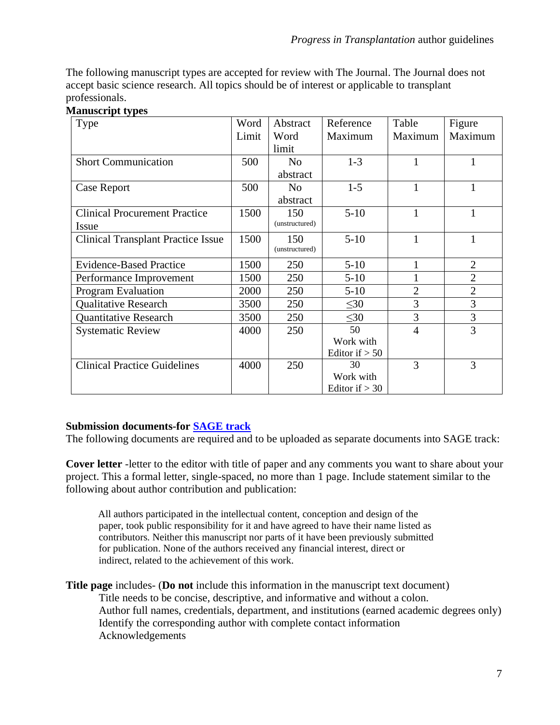The following manuscript types are accepted for review with The Journal. The Journal does not accept basic science research. All topics should be of interest or applicable to transplant professionals.

#### **Manuscript types**

| Type                                      | Word  | Abstract       | Reference        | Table          | Figure         |
|-------------------------------------------|-------|----------------|------------------|----------------|----------------|
|                                           | Limit | Word           | Maximum          | Maximum        | Maximum        |
|                                           |       | limit          |                  |                |                |
| <b>Short Communication</b>                | 500   | N <sub>o</sub> | $1-3$            | $\mathbf{1}$   | 1              |
|                                           |       | abstract       |                  |                |                |
| Case Report                               | 500   | N <sub>o</sub> | $1-5$            | $\mathbf{1}$   | $\mathbf{1}$   |
|                                           |       | abstract       |                  |                |                |
| <b>Clinical Procurement Practice</b>      | 1500  | 150            | $5 - 10$         | $\mathbf{1}$   | $\mathbf{1}$   |
| Issue                                     |       | (unstructured) |                  |                |                |
| <b>Clinical Transplant Practice Issue</b> | 1500  | 150            | $5 - 10$         | 1              | $\mathbf{1}$   |
|                                           |       | (unstructured) |                  |                |                |
| <b>Evidence-Based Practice</b>            | 1500  | 250            | $5 - 10$         |                | $\overline{2}$ |
| Performance Improvement                   | 1500  | 250            | $5-10$           |                | $\overline{2}$ |
| <b>Program Evaluation</b>                 | 2000  | 250            | $5 - 10$         | $\overline{2}$ | $\overline{2}$ |
| <b>Qualitative Research</b>               | 3500  | 250            | $\leq 30$        | 3              | 3              |
| <b>Quantitative Research</b>              | 3500  | 250            | $\leq 30$        | 3              | 3              |
| <b>Systematic Review</b>                  | 4000  | 250            | 50               | $\overline{4}$ | 3              |
|                                           |       |                | Work with        |                |                |
|                                           |       |                | Editor if $> 50$ |                |                |
| <b>Clinical Practice Guidelines</b>       | 4000  | 250            | 30               | 3              | 3              |
|                                           |       |                | Work with        |                |                |
|                                           |       |                | Editor if $> 30$ |                |                |

## **Submission documents-for [SAGE track](https://mc.manuscriptcentral.com/pit)**

The following documents are required and to be uploaded as separate documents into SAGE track:

**Cover letter** -letter to the editor with title of paper and any comments you want to share about your project. This a formal letter, single-spaced, no more than 1 page. Include statement similar to the following about author contribution and publication:

All authors participated in the intellectual content, conception and design of the paper, took public responsibility for it and have agreed to have their name listed as contributors. Neither this manuscript nor parts of it have been previously submitted for publication. None of the authors received any financial interest, direct or indirect, related to the achievement of this work.

**Title page** includes- (**Do not** include this information in the manuscript text document) Title needs to be concise, descriptive, and informative and without a colon. Author full names, credentials, department, and institutions (earned academic degrees only) Identify the corresponding author with complete contact information Acknowledgements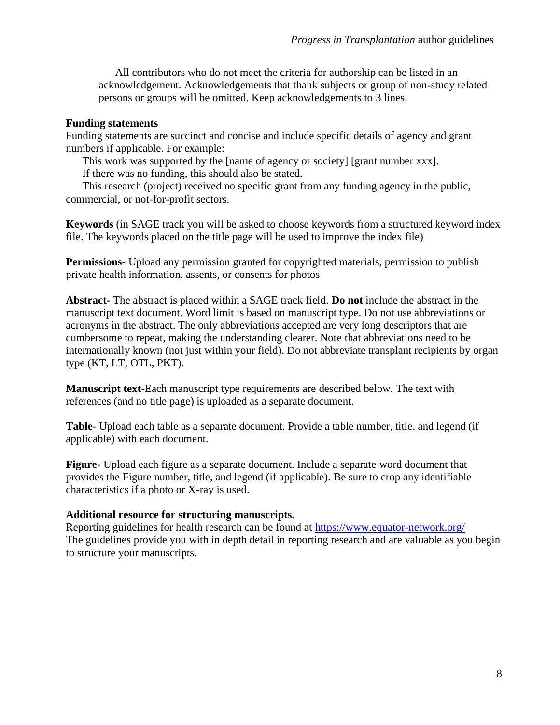All contributors who do not meet the criteria for authorship can be listed in an acknowledgement. Acknowledgements that thank subjects or group of non-study related persons or groups will be omitted. Keep acknowledgements to 3 lines.

#### **Funding statements**

Funding statements are succinct and concise and include specific details of agency and grant numbers if applicable. For example:

This work was supported by the [name of agency or society] [grant number xxx]. If there was no funding, this should also be stated.

This research (project) received no specific grant from any funding agency in the public, commercial, or not-for-profit sectors.

**Keywords** (in SAGE track you will be asked to choose keywords from a structured keyword index file. The keywords placed on the title page will be used to improve the index file)

**Permissions-** Upload any permission granted for copyrighted materials, permission to publish private health information, assents, or consents for photos

**Abstract-** The abstract is placed within a SAGE track field. **Do not** include the abstract in the manuscript text document. Word limit is based on manuscript type. Do not use abbreviations or acronyms in the abstract. The only abbreviations accepted are very long descriptors that are cumbersome to repeat, making the understanding clearer. Note that abbreviations need to be internationally known (not just within your field). Do not abbreviate transplant recipients by organ type (KT, LT, OTL, PKT).

**Manuscript text-**Each manuscript type requirements are described below. The text with references (and no title page) is uploaded as a separate document.

**Table**- Upload each table as a separate document. Provide a table number, title, and legend (if applicable) with each document.

**Figure**- Upload each figure as a separate document. Include a separate word document that provides the Figure number, title, and legend (if applicable). Be sure to crop any identifiable characteristics if a photo or X-ray is used.

#### **Additional resource for structuring manuscripts.**

Reporting guidelines for health research can be found at<https://www.equator-network.org/> The guidelines provide you with in depth detail in reporting research and are valuable as you begin to structure your manuscripts.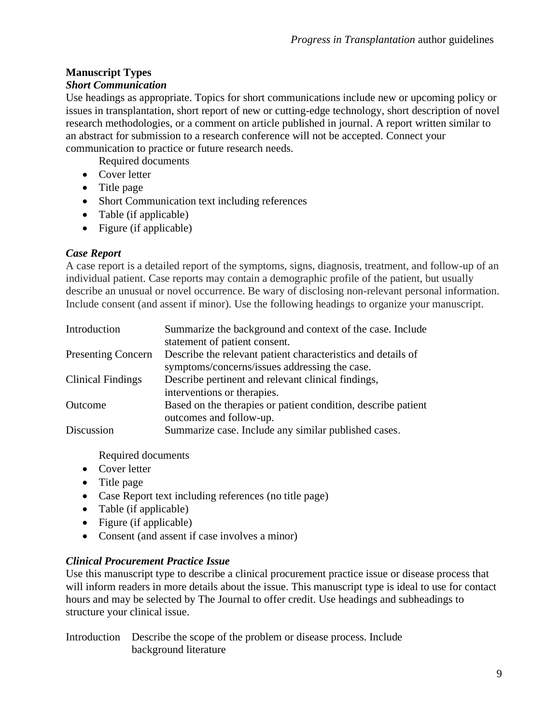# **Manuscript Types**

# *Short Communication*

Use headings as appropriate. Topics for short communications include new or upcoming policy or issues in transplantation, short report of new or cutting-edge technology, short description of novel research methodologies, or a comment on article published in journal. A report written similar to an abstract for submission to a research conference will not be accepted. Connect your communication to practice or future research needs.

Required documents

- Cover letter
- Title page
- Short Communication text including references
- Table (if applicable)
- Figure (if applicable)

# *Case Report*

A case report is a detailed report of the symptoms, signs, diagnosis, treatment, and follow-up of an individual patient. Case reports may contain a demographic profile of the patient, but usually describe an unusual or novel occurrence. Be wary of disclosing non-relevant personal information. Include consent (and assent if minor). Use the following headings to organize your manuscript.

| Introduction              | Summarize the background and context of the case. Include     |
|---------------------------|---------------------------------------------------------------|
|                           | statement of patient consent.                                 |
| <b>Presenting Concern</b> | Describe the relevant patient characteristics and details of  |
|                           | symptoms/concerns/issues addressing the case.                 |
| <b>Clinical Findings</b>  | Describe pertinent and relevant clinical findings,            |
|                           | interventions or therapies.                                   |
| Outcome                   | Based on the therapies or patient condition, describe patient |
|                           | outcomes and follow-up.                                       |
| Discussion                | Summarize case. Include any similar published cases.          |

Required documents

- Cover letter
- Title page
- Case Report text including references (no title page)
- Table (if applicable)
- Figure (if applicable)
- Consent (and assent if case involves a minor)

# *Clinical Procurement Practice Issue*

Use this manuscript type to describe a clinical procurement practice issue or disease process that will inform readers in more details about the issue. This manuscript type is ideal to use for contact hours and may be selected by The Journal to offer credit. Use headings and subheadings to structure your clinical issue.

Introduction Describe the scope of the problem or disease process. Include background literature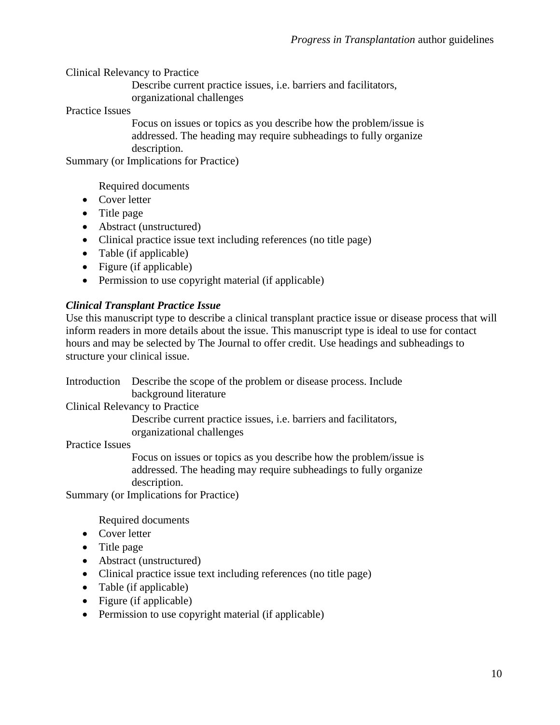Clinical Relevancy to Practice

Describe current practice issues, i.e. barriers and facilitators, organizational challenges

Practice Issues

Focus on issues or topics as you describe how the problem/issue is addressed. The heading may require subheadings to fully organize description.

Summary (or Implications for Practice)

Required documents

- Cover letter
- Title page
- Abstract (unstructured)
- Clinical practice issue text including references (no title page)
- Table (if applicable)
- Figure (if applicable)
- Permission to use copyright material (if applicable)

## *Clinical Transplant Practice Issue*

Use this manuscript type to describe a clinical transplant practice issue or disease process that will inform readers in more details about the issue. This manuscript type is ideal to use for contact hours and may be selected by The Journal to offer credit. Use headings and subheadings to structure your clinical issue.

Introduction Describe the scope of the problem or disease process. Include background literature

Clinical Relevancy to Practice

Describe current practice issues, i.e. barriers and facilitators, organizational challenges

Practice Issues

Focus on issues or topics as you describe how the problem/issue is addressed. The heading may require subheadings to fully organize description.

Summary (or Implications for Practice)

Required documents

- Cover letter
- Title page
- Abstract (unstructured)
- Clinical practice issue text including references (no title page)
- Table (if applicable)
- Figure (if applicable)
- Permission to use copyright material (if applicable)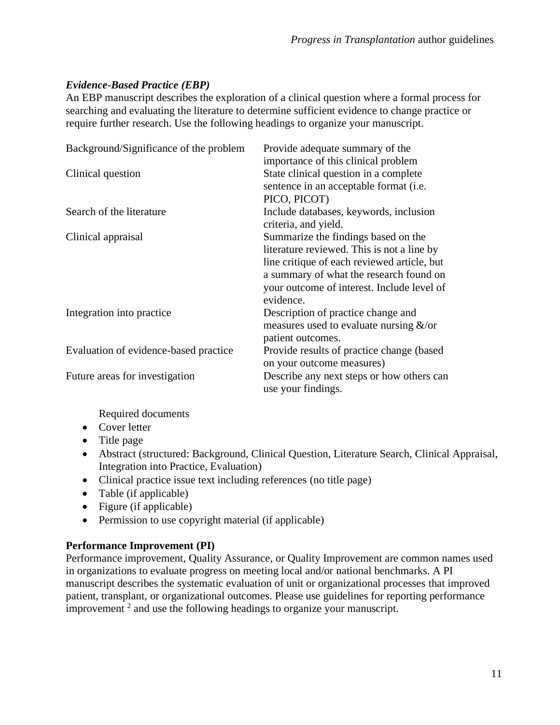# *Evidence-Based Practice (EBP)*

An EBP manuscript describes the exploration of a clinical question where a formal process for searching and evaluating the literature to determine sufficient evidence to change practice or require further research. Use the following headings to organize your manuscript.

| Background/Significance of the problem | Provide adequate summary of the<br>importance of this clinical problem                                                                                                                                                                 |
|----------------------------------------|----------------------------------------------------------------------------------------------------------------------------------------------------------------------------------------------------------------------------------------|
| Clinical question                      | State clinical question in a complete<br>sentence in an acceptable format (i.e.<br>PICO, PICOT)                                                                                                                                        |
| Search of the literature               | Include databases, keywords, inclusion<br>criteria, and yield.                                                                                                                                                                         |
| Clinical appraisal                     | Summarize the findings based on the<br>literature reviewed. This is not a line by<br>line critique of each reviewed article, but<br>a summary of what the research found on<br>your outcome of interest. Include level of<br>evidence. |
| Integration into practice              | Description of practice change and<br>measures used to evaluate nursing $\&$ /or<br>patient outcomes.                                                                                                                                  |
| Evaluation of evidence-based practice  | Provide results of practice change (based)<br>on your outcome measures)                                                                                                                                                                |
| Future areas for investigation         | Describe any next steps or how others can<br>use your findings.                                                                                                                                                                        |

Required documents

- Cover letter
- Title page
- Abstract (structured: Background, Clinical Question, Literature Search, Clinical Appraisal, Integration into Practice, Evaluation)
- Clinical practice issue text including references (no title page)
- Table (if applicable)
- Figure (if applicable)
- Permission to use copyright material (if applicable)

## **Performance Improvement (PI)**

Performance improvement, Quality Assurance, or Quality Improvement are common names used in organizations to evaluate progress on meeting local and/or national benchmarks. A PI manuscript describes the systematic evaluation of unit or organizational processes that improved patient, transplant, or organizational outcomes. Please use guidelines for reporting performance improvement  $2$  and use the following headings to organize your manuscript.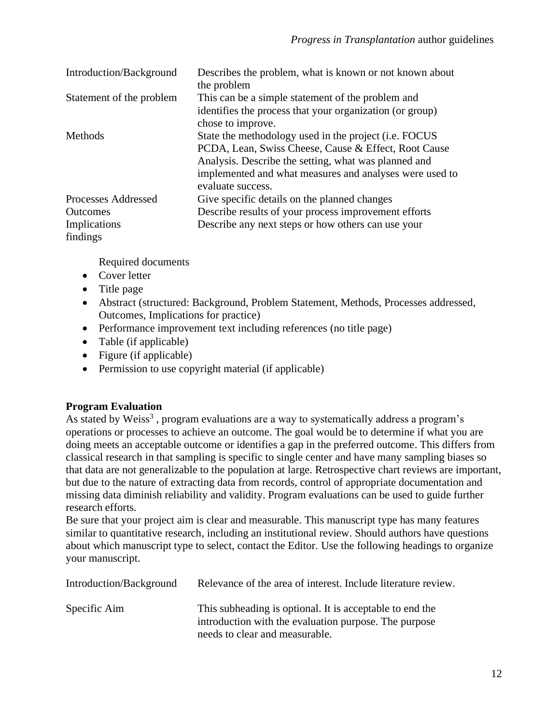| Introduction/Background                                            | Describes the problem, what is known or not known about<br>the problem                                                                                                                                                                                        |
|--------------------------------------------------------------------|---------------------------------------------------------------------------------------------------------------------------------------------------------------------------------------------------------------------------------------------------------------|
| Statement of the problem                                           | This can be a simple statement of the problem and<br>identifies the process that your organization (or group)<br>chose to improve.                                                                                                                            |
| Methods                                                            | State the methodology used in the project ( <i>i.e.</i> FOCUS<br>PCDA, Lean, Swiss Cheese, Cause & Effect, Root Cause<br>Analysis. Describe the setting, what was planned and<br>implemented and what measures and analyses were used to<br>evaluate success. |
| Processes Addressed<br><b>Outcomes</b><br>Implications<br>findings | Give specific details on the planned changes<br>Describe results of your process improvement efforts<br>Describe any next steps or how others can use your                                                                                                    |

Required documents

- Cover letter
- Title page
- Abstract (structured: Background, Problem Statement, Methods, Processes addressed, Outcomes, Implications for practice)
- Performance improvement text including references (no title page)
- Table (if applicable)
- Figure (if applicable)
- Permission to use copyright material (if applicable)

## **Program Evaluation**

As stated by Weiss<sup>3</sup>, program evaluations are a way to systematically address a program's operations or processes to achieve an outcome. The goal would be to determine if what you are doing meets an acceptable outcome or identifies a gap in the preferred outcome. This differs from classical research in that sampling is specific to single center and have many sampling biases so that data are not generalizable to the population at large. Retrospective chart reviews are important, but due to the nature of extracting data from records, control of appropriate documentation and missing data diminish reliability and validity. Program evaluations can be used to guide further research efforts.

Be sure that your project aim is clear and measurable. This manuscript type has many features similar to quantitative research, including an institutional review. Should authors have questions about which manuscript type to select, contact the Editor. Use the following headings to organize your manuscript.

| Introduction/Background | Relevance of the area of interest. Include literature review.                                                                                       |
|-------------------------|-----------------------------------------------------------------------------------------------------------------------------------------------------|
| Specific Aim            | This subheading is optional. It is acceptable to end the<br>introduction with the evaluation purpose. The purpose<br>needs to clear and measurable. |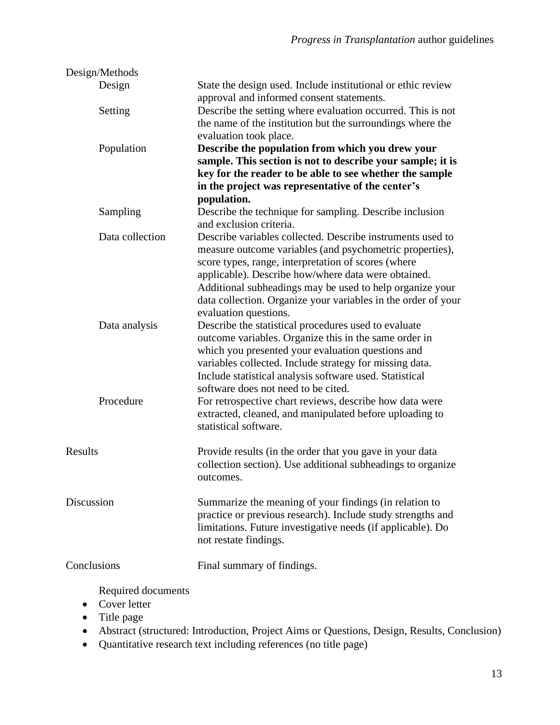| Design/Methods     |                                                                                    |
|--------------------|------------------------------------------------------------------------------------|
| Design             | State the design used. Include institutional or ethic review                       |
|                    | approval and informed consent statements.                                          |
| Setting            | Describe the setting where evaluation occurred. This is not                        |
|                    | the name of the institution but the surroundings where the                         |
|                    | evaluation took place.                                                             |
| Population         | Describe the population from which you drew your                                   |
|                    | sample. This section is not to describe your sample; it is                         |
|                    | key for the reader to be able to see whether the sample                            |
|                    | in the project was representative of the center's                                  |
|                    | population.                                                                        |
| Sampling           | Describe the technique for sampling. Describe inclusion<br>and exclusion criteria. |
| Data collection    | Describe variables collected. Describe instruments used to                         |
|                    | measure outcome variables (and psychometric properties),                           |
|                    | score types, range, interpretation of scores (where                                |
|                    | applicable). Describe how/where data were obtained.                                |
|                    | Additional subheadings may be used to help organize your                           |
|                    | data collection. Organize your variables in the order of your                      |
|                    | evaluation questions.                                                              |
| Data analysis      | Describe the statistical procedures used to evaluate                               |
|                    | outcome variables. Organize this in the same order in                              |
|                    | which you presented your evaluation questions and                                  |
|                    | variables collected. Include strategy for missing data.                            |
|                    | Include statistical analysis software used. Statistical                            |
|                    | software does not need to be cited.                                                |
| Procedure          | For retrospective chart reviews, describe how data were                            |
|                    | extracted, cleaned, and manipulated before uploading to                            |
|                    | statistical software.                                                              |
| Results            |                                                                                    |
|                    | Provide results (in the order that you gave in your data                           |
|                    | collection section). Use additional subheadings to organize                        |
|                    | outcomes.                                                                          |
| Discussion         | Summarize the meaning of your findings (in relation to                             |
|                    | practice or previous research). Include study strengths and                        |
|                    | limitations. Future investigative needs (if applicable). Do                        |
|                    | not restate findings.                                                              |
|                    |                                                                                    |
| Conclusions        | Final summary of findings.                                                         |
|                    |                                                                                    |
| Required documents |                                                                                    |

- Cover letter
- Title page
- Abstract (structured: Introduction, Project Aims or Questions, Design, Results, Conclusion)
- Quantitative research text including references (no title page)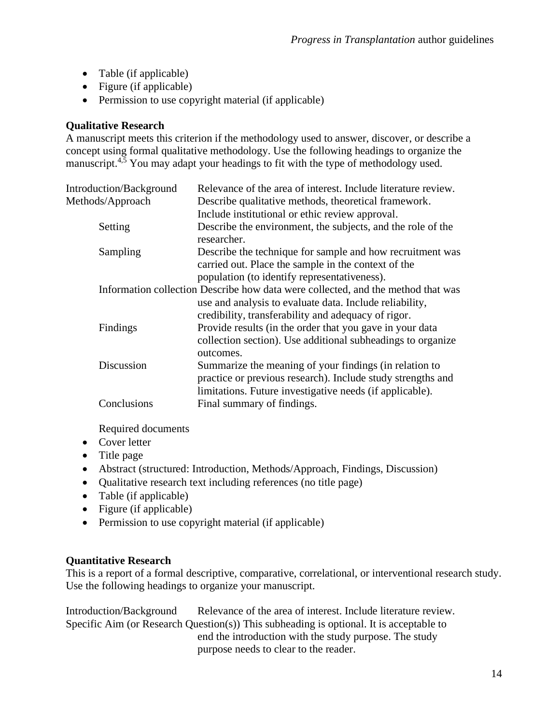- Table (if applicable)
- Figure (if applicable)
- Permission to use copyright material (if applicable)

# **Qualitative Research**

A manuscript meets this criterion if the methodology used to answer, discover, or describe a concept using formal qualitative methodology. Use the following headings to organize the manuscript.<sup>4,5</sup> You may adapt your headings to fit with the type of methodology used.

| <b>Introduction/Background</b> | Relevance of the area of interest. Include literature review.                    |
|--------------------------------|----------------------------------------------------------------------------------|
| Methods/Approach               | Describe qualitative methods, theoretical framework.                             |
|                                | Include institutional or ethic review approval.                                  |
| Setting                        | Describe the environment, the subjects, and the role of the<br>researcher.       |
| Sampling                       | Describe the technique for sample and how recruitment was                        |
|                                | carried out. Place the sample in the context of the                              |
|                                | population (to identify representativeness).                                     |
|                                | Information collection Describe how data were collected, and the method that was |
|                                | use and analysis to evaluate data. Include reliability,                          |
|                                | credibility, transferability and adequacy of rigor.                              |
| Findings                       | Provide results (in the order that you gave in your data                         |
|                                | collection section). Use additional subheadings to organize                      |
|                                | outcomes.                                                                        |
| Discussion                     | Summarize the meaning of your findings (in relation to                           |
|                                | practice or previous research). Include study strengths and                      |
|                                | limitations. Future investigative needs (if applicable).                         |
| Conclusions                    | Final summary of findings.                                                       |
|                                |                                                                                  |

Required documents

- Cover letter
- Title page
- Abstract (structured: Introduction, Methods/Approach, Findings, Discussion)
- Qualitative research text including references (no title page)
- Table (if applicable)
- Figure (if applicable)
- Permission to use copyright material (if applicable)

## **Quantitative Research**

This is a report of a formal descriptive, comparative, correlational, or interventional research study. Use the following headings to organize your manuscript.

Introduction/Background Relevance of the area of interest. Include literature review. Specific Aim (or Research Question(s)) This subheading is optional. It is acceptable to end the introduction with the study purpose. The study purpose needs to clear to the reader.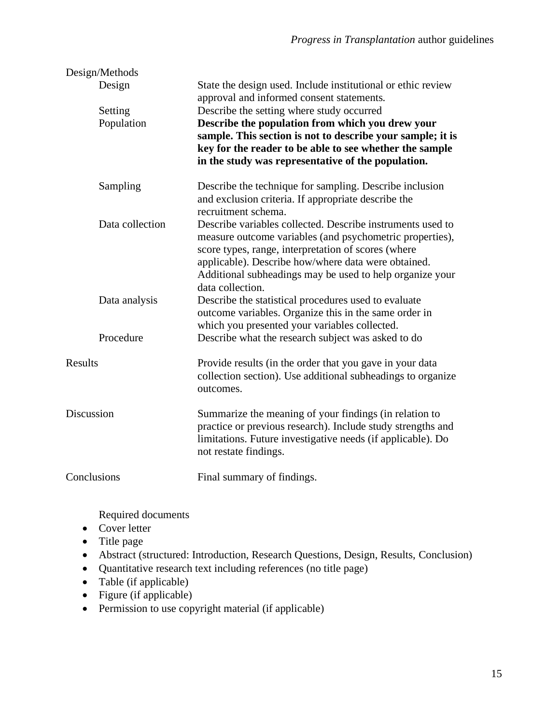| Design/Methods    |                                                                                                                                                                                                                                                                                                                      |
|-------------------|----------------------------------------------------------------------------------------------------------------------------------------------------------------------------------------------------------------------------------------------------------------------------------------------------------------------|
| Design            | State the design used. Include institutional or ethic review<br>approval and informed consent statements.                                                                                                                                                                                                            |
| Setting           | Describe the setting where study occurred                                                                                                                                                                                                                                                                            |
| Population        | Describe the population from which you drew your<br>sample. This section is not to describe your sample; it is<br>key for the reader to be able to see whether the sample<br>in the study was representative of the population.                                                                                      |
| Sampling          | Describe the technique for sampling. Describe inclusion<br>and exclusion criteria. If appropriate describe the<br>recruitment schema.                                                                                                                                                                                |
| Data collection   | Describe variables collected. Describe instruments used to<br>measure outcome variables (and psychometric properties),<br>score types, range, interpretation of scores (where<br>applicable). Describe how/where data were obtained.<br>Additional subheadings may be used to help organize your<br>data collection. |
| Data analysis     | Describe the statistical procedures used to evaluate<br>outcome variables. Organize this in the same order in<br>which you presented your variables collected.                                                                                                                                                       |
| Procedure         | Describe what the research subject was asked to do                                                                                                                                                                                                                                                                   |
| <b>Results</b>    | Provide results (in the order that you gave in your data<br>collection section). Use additional subheadings to organize<br>outcomes.                                                                                                                                                                                 |
| <b>Discussion</b> | Summarize the meaning of your findings (in relation to<br>practice or previous research). Include study strengths and<br>limitations. Future investigative needs (if applicable). Do<br>not restate findings.                                                                                                        |
| Conclusions       | Final summary of findings.                                                                                                                                                                                                                                                                                           |

Required documents

- Cover letter
- Title page
- Abstract (structured: Introduction, Research Questions, Design, Results, Conclusion)
- Quantitative research text including references (no title page)
- Table (if applicable)
- Figure (if applicable)
- Permission to use copyright material (if applicable)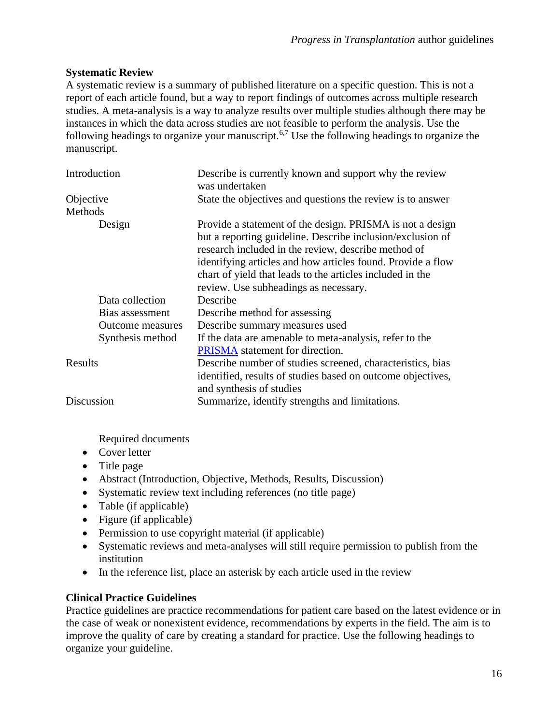## **Systematic Review**

A systematic review is a summary of published literature on a specific question. This is not a report of each article found, but a way to report findings of outcomes across multiple research studies. A meta-analysis is a way to analyze results over multiple studies although there may be instances in which the data across studies are not feasible to perform the analysis. Use the following headings to organize your manuscript.<sup>6,7</sup> Use the following headings to organize the manuscript.

| Introduction            | Describe is currently known and support why the review<br>was undertaken                                                                                                                                                                                                                                   |
|-------------------------|------------------------------------------------------------------------------------------------------------------------------------------------------------------------------------------------------------------------------------------------------------------------------------------------------------|
| Objective               | State the objectives and questions the review is to answer                                                                                                                                                                                                                                                 |
| Methods                 |                                                                                                                                                                                                                                                                                                            |
| Design                  | Provide a statement of the design. PRISMA is not a design<br>but a reporting guideline. Describe inclusion/exclusion of<br>research included in the review, describe method of<br>identifying articles and how articles found. Provide a flow<br>chart of yield that leads to the articles included in the |
|                         | review. Use subheadings as necessary.                                                                                                                                                                                                                                                                      |
| Data collection         | Describe                                                                                                                                                                                                                                                                                                   |
| Bias assessment         | Describe method for assessing                                                                                                                                                                                                                                                                              |
| <b>Outcome measures</b> | Describe summary measures used                                                                                                                                                                                                                                                                             |
| Synthesis method        | If the data are amenable to meta-analysis, refer to the                                                                                                                                                                                                                                                    |
|                         | <b>PRISMA</b> statement for direction.                                                                                                                                                                                                                                                                     |
| Results                 | Describe number of studies screened, characteristics, bias<br>identified, results of studies based on outcome objectives,<br>and synthesis of studies                                                                                                                                                      |
| Discussion              | Summarize, identify strengths and limitations.                                                                                                                                                                                                                                                             |

Required documents

- Cover letter
- Title page
- Abstract (Introduction, Objective, Methods, Results, Discussion)
- Systematic review text including references (no title page)
- Table (if applicable)
- Figure (if applicable)
- Permission to use copyright material (if applicable)
- Systematic reviews and meta-analyses will still require permission to publish from the institution
- In the reference list, place an asterisk by each article used in the review

# **Clinical Practice Guidelines**

Practice guidelines are practice recommendations for patient care based on the latest evidence or in the case of weak or nonexistent evidence, recommendations by experts in the field. The aim is to improve the quality of care by creating a standard for practice. Use the following headings to organize your guideline.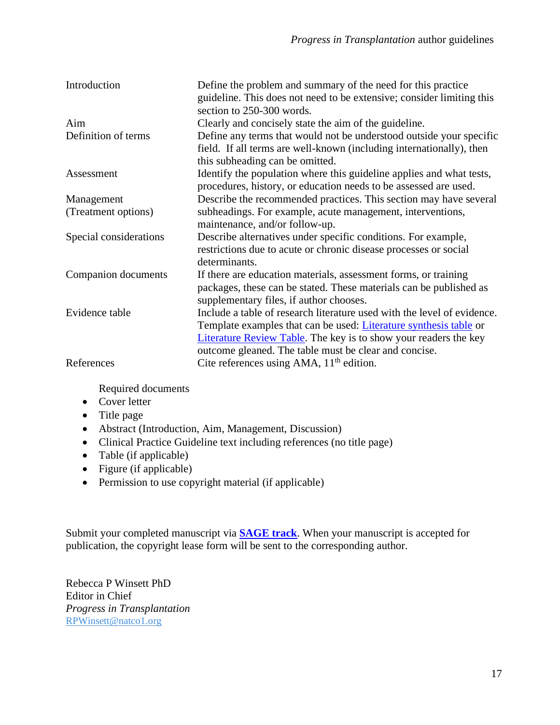| Introduction           | Define the problem and summary of the need for this practice<br>guideline. This does not need to be extensive; consider limiting this<br>section to 250-300 words.                                                                                                                      |
|------------------------|-----------------------------------------------------------------------------------------------------------------------------------------------------------------------------------------------------------------------------------------------------------------------------------------|
| Aim                    | Clearly and concisely state the aim of the guideline.                                                                                                                                                                                                                                   |
| Definition of terms    | Define any terms that would not be understood outside your specific<br>field. If all terms are well-known (including internationally), then<br>this subheading can be omitted.                                                                                                          |
| Assessment             | Identify the population where this guideline applies and what tests,<br>procedures, history, or education needs to be assessed are used.                                                                                                                                                |
| Management             | Describe the recommended practices. This section may have several                                                                                                                                                                                                                       |
| (Treatment options)    | subheadings. For example, acute management, interventions,<br>maintenance, and/or follow-up.                                                                                                                                                                                            |
| Special considerations | Describe alternatives under specific conditions. For example,<br>restrictions due to acute or chronic disease processes or social<br>determinants.                                                                                                                                      |
| Companion documents    | If there are education materials, assessment forms, or training<br>packages, these can be stated. These materials can be published as<br>supplementary files, if author chooses.                                                                                                        |
| Evidence table         | Include a table of research literature used with the level of evidence.<br>Template examples that can be used: <i>Literature synthesis table</i> or<br><b>Literature Review Table.</b> The key is to show your readers the key<br>outcome gleaned. The table must be clear and concise. |
| References             | Cite references using AMA, $11th$ edition.                                                                                                                                                                                                                                              |

Required documents

- Cover letter
- Title page
- Abstract (Introduction, Aim, Management, Discussion)
- Clinical Practice Guideline text including references (no title page)
- Table (if applicable)
- Figure (if applicable)
- Permission to use copyright material (if applicable)

Submit your completed manuscript via **[SAGE track](https://mc.manuscriptcentral.com/pit)**. When your manuscript is accepted for publication, the copyright lease form will be sent to the corresponding author.

Rebecca P Winsett PhD Editor in Chief *Progress in Transplantation* RPWinsett@natco1.org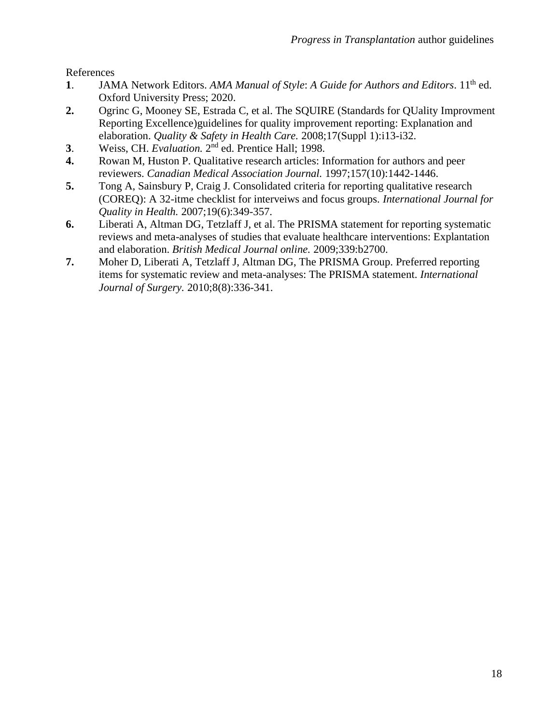References

- 1. JAMA Network Editors. *AMA Manual of Style: A Guide for Authors and Editors*. 11<sup>th</sup> ed. Oxford University Press; 2020.
- **2.** Ogrinc G, Mooney SE, Estrada C, et al. The SQUIRE (Standards for QUality Improvment Reporting Excellence)guidelines for quality improvement reporting: Explanation and elaboration. *Quality & Safety in Health Care.* 2008;17(Suppl 1):i13-i32.
- **3**. Weiss, CH. *Evaluation*. 2<sup>nd</sup> ed. Prentice Hall; 1998.
- **4.** Rowan M, Huston P. Qualitative research articles: Information for authors and peer reviewers. *Canadian Medical Association Journal.* 1997;157(10):1442-1446.
- **5.** Tong A, Sainsbury P, Craig J. Consolidated criteria for reporting qualitative research (COREQ): A 32-itme checklist for interveiws and focus groups. *International Journal for Quality in Health.* 2007;19(6):349-357.
- **6.** Liberati A, Altman DG, Tetzlaff J, et al. The PRISMA statement for reporting systematic reviews and meta-analyses of studies that evaluate healthcare interventions: Explantation and elaboration. *British Medical Journal online.* 2009;339:b2700.
- **7.** Moher D, Liberati A, Tetzlaff J, Altman DG, The PRISMA Group. Preferred reporting items for systematic review and meta-analyses: The PRISMA statement. *International Journal of Surgery.* 2010;8(8):336-341.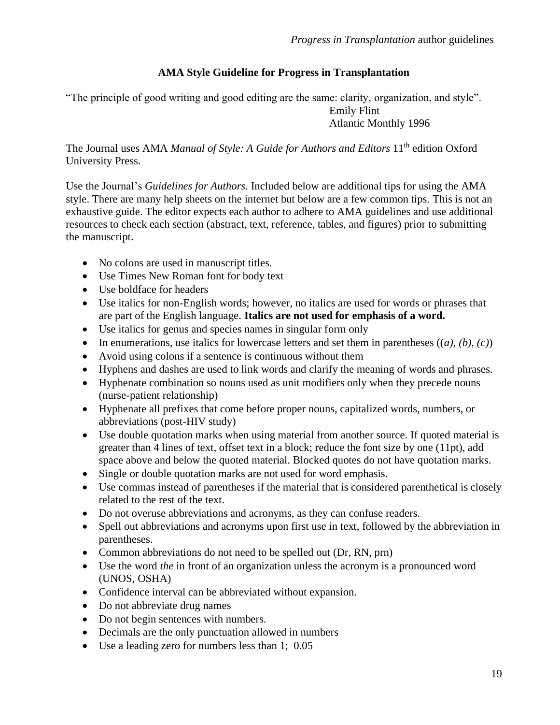# **AMA Style Guideline for Progress in Transplantation**

"The principle of good writing and good editing are the same: clarity, organization, and style". Emily Flint Atlantic Monthly 1996

The Journal uses AMA *Manual of Style: A Guide for Authors and Editors* 11<sup>th</sup> edition Oxford University Press.

Use the Journal's *Guidelines for Authors.* Included below are additional tips for using the AMA style. There are many help sheets on the internet but below are a few common tips. This is not an exhaustive guide. The editor expects each author to adhere to AMA guidelines and use additional resources to check each section (abstract, text, reference, tables, and figures) prior to submitting the manuscript.

- No colons are used in manuscript titles.
- Use Times New Roman font for body text
- Use boldface for headers
- Use italics for non-English words; however, no italics are used for words or phrases that are part of the English language. **Italics are not used for emphasis of a word.**
- Use italics for genus and species names in singular form only
- In enumerations, use italics for lowercase letters and set them in parentheses  $((a), (b), (c))$
- Avoid using colons if a sentence is continuous without them
- Hyphens and dashes are used to link words and clarify the meaning of words and phrases.
- Hyphenate combination so nouns used as unit modifiers only when they precede nouns (nurse-patient relationship)
- Hyphenate all prefixes that come before proper nouns, capitalized words, numbers, or abbreviations (post-HIV study)
- Use double quotation marks when using material from another source. If quoted material is greater than 4 lines of text, offset text in a block; reduce the font size by one (11pt), add space above and below the quoted material. Blocked quotes do not have quotation marks.
- Single or double quotation marks are not used for word emphasis.
- Use commas instead of parentheses if the material that is considered parenthetical is closely related to the rest of the text.
- Do not overuse abbreviations and acronyms, as they can confuse readers.
- Spell out abbreviations and acronyms upon first use in text, followed by the abbreviation in parentheses.
- Common abbreviations do not need to be spelled out (Dr, RN, prn)
- Use the word *the* in front of an organization unless the acronym is a pronounced word (UNOS, OSHA)
- Confidence interval can be abbreviated without expansion.
- Do not abbreviate drug names
- Do not begin sentences with numbers.
- Decimals are the only punctuation allowed in numbers
- Use a leading zero for numbers less than 1; 0.05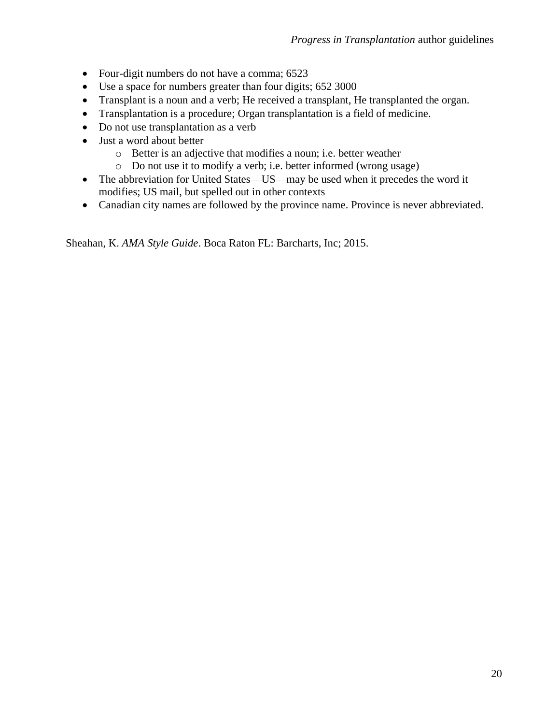- Four-digit numbers do not have a comma; 6523
- Use a space for numbers greater than four digits; 652 3000
- Transplant is a noun and a verb; He received a transplant, He transplanted the organ.
- Transplantation is a procedure; Organ transplantation is a field of medicine.
- Do not use transplantation as a verb
- Just a word about better
	- o Better is an adjective that modifies a noun; i.e. better weather
	- o Do not use it to modify a verb; i.e. better informed (wrong usage)
- The abbreviation for United States—US—may be used when it precedes the word it modifies; US mail, but spelled out in other contexts
- Canadian city names are followed by the province name. Province is never abbreviated.

Sheahan, K. *AMA Style Guide*. Boca Raton FL: Barcharts, Inc; 2015.